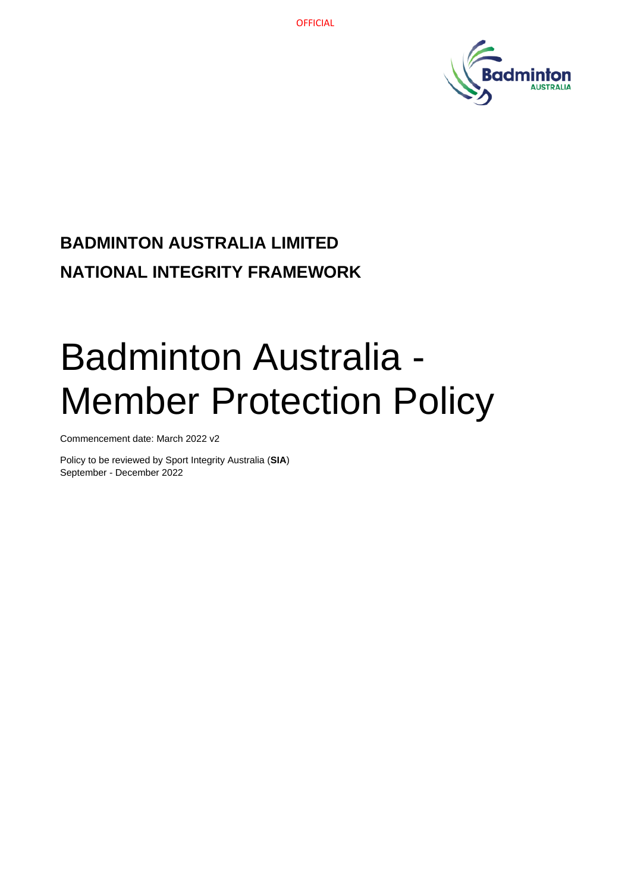

# **BADMINTON AUSTRALIA LIMITED NATIONAL INTEGRITY FRAMEWORK**

# Badminton Australia - Member Protection Policy

Commencement date: March 2022 v2

Policy to be reviewed by Sport Integrity Australia (**SIA**) September - December 2022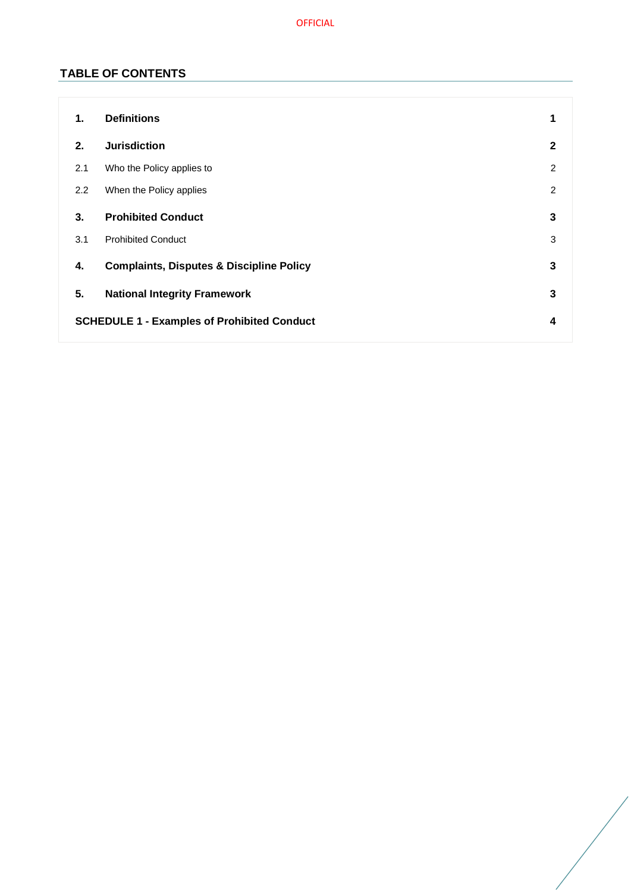OFFICIAL

# **TABLE OF CONTENTS**

| 1.                                                 | <b>Definitions</b>                                  | 1              |
|----------------------------------------------------|-----------------------------------------------------|----------------|
| 2.                                                 | <b>Jurisdiction</b>                                 | $\mathbf{2}$   |
| 2.1                                                | Who the Policy applies to                           | $\overline{2}$ |
| 2.2                                                | When the Policy applies                             | $\overline{2}$ |
| 3.                                                 | <b>Prohibited Conduct</b>                           | 3              |
| 3.1                                                | <b>Prohibited Conduct</b>                           | 3              |
| 4.                                                 | <b>Complaints, Disputes &amp; Discipline Policy</b> | 3              |
| 5.                                                 | <b>National Integrity Framework</b>                 | 3              |
| <b>SCHEDULE 1 - Examples of Prohibited Conduct</b> |                                                     | 4              |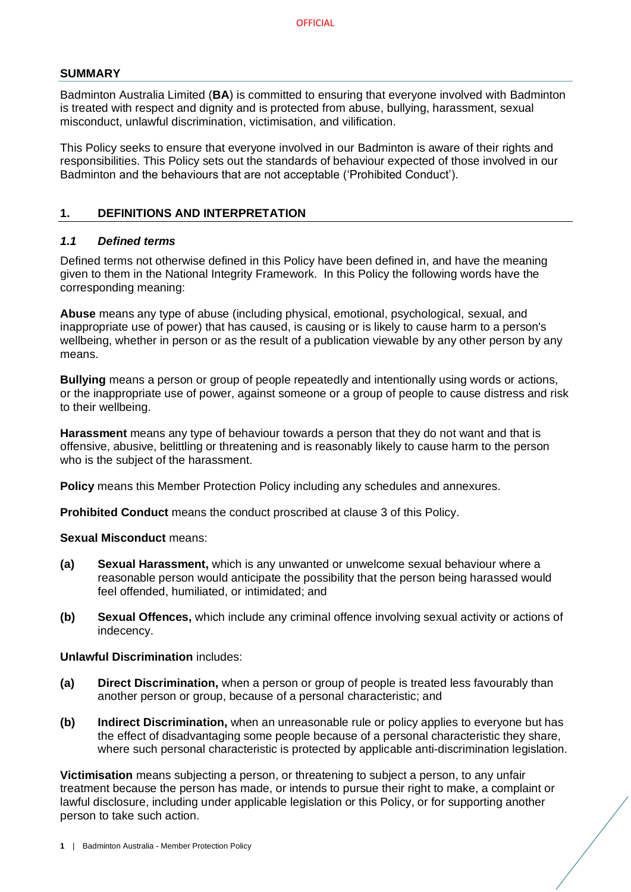#### **SUMMARY**

Badminton Australia Limited (**BA**) is committed to ensuring that everyone involved with Badminton is treated with respect and dignity and is protected from abuse, bullying, harassment, sexual misconduct, unlawful discrimination, victimisation, and vilification.

This Policy seeks to ensure that everyone involved in our Badminton is aware of their rights and responsibilities. This Policy sets out the standards of behaviour expected of those involved in our Badminton and the behaviours that are not acceptable ('Prohibited Conduct').

#### <span id="page-2-0"></span>**1. DEFINITIONS AND INTERPRETATION**

#### *1.1 Defined terms*

Defined terms not otherwise defined in this Policy have been defined in, and have the meaning given to them in the National Integrity Framework. In this Policy the following words have the corresponding meaning:

**Abuse** means any type of abuse (including physical, emotional, psychological, sexual, and inappropriate use of power) that has caused, is causing or is likely to cause harm to a person's wellbeing, whether in person or as the result of a publication viewable by any other person by any means.

**Bullying** means a person or group of people repeatedly and intentionally using words or actions, or the inappropriate use of power, against someone or a group of people to cause distress and risk to their wellbeing.

**Harassment** means any type of behaviour towards a person that they do not want and that is offensive, abusive, belittling or threatening and is reasonably likely to cause harm to the person who is the subject of the harassment.

**Policy** means this Member Protection Policy including any schedules and annexures.

**Prohibited Conduct** means the conduct proscribed at clause [3](#page-4-0) of this Policy.

#### **Sexual Misconduct** means:

- **(a) Sexual Harassment,** which is any unwanted or unwelcome sexual behaviour where a reasonable person would anticipate the possibility that the person being harassed would feel offended, humiliated, or intimidated; and
- **(b) Sexual Offences,** which include any criminal offence involving sexual activity or actions of indecency.

#### **Unlawful Discrimination** includes:

- **(a) Direct Discrimination,** when a person or group of people is treated less favourably than another person or group, because of a personal characteristic; and
- **(b) Indirect Discrimination,** when an unreasonable rule or policy applies to everyone but has the effect of disadvantaging some people because of a personal characteristic they share, where such personal characteristic is protected by applicable anti-discrimination legislation.

**Victimisation** means subjecting a person, or threatening to subject a person, to any unfair treatment because the person has made, or intends to pursue their right to make, a complaint or lawful disclosure, including under applicable legislation or this Policy, or for supporting another person to take such action.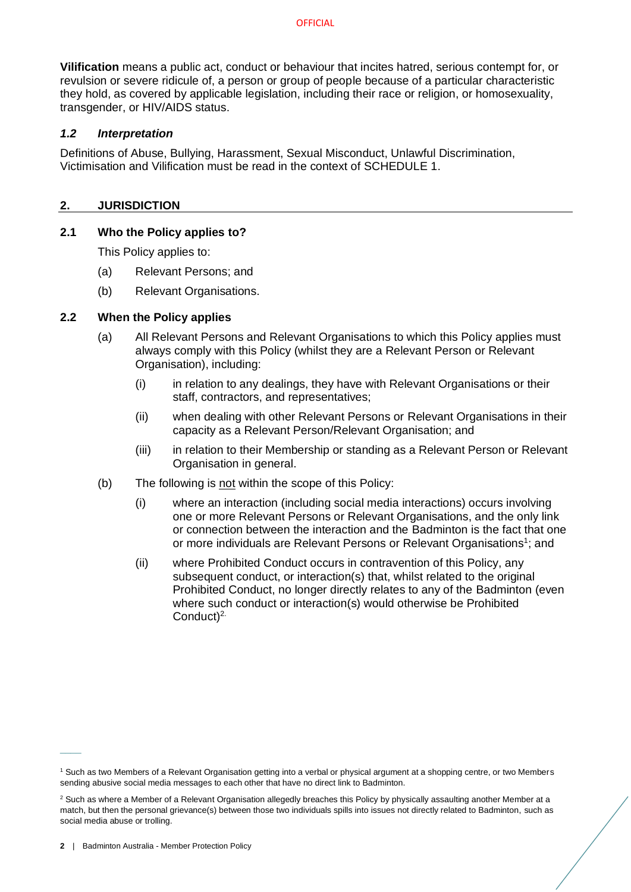**Vilification** means a public act, conduct or behaviour that incites hatred, serious contempt for, or revulsion or severe ridicule of, a person or group of people because of a particular characteristic they hold, as covered by applicable legislation, including their race or religion, or homosexuality, transgender, or HIV/AIDS status.

#### *1.2 Interpretation*

Definitions of Abuse, Bullying, Harassment, Sexual Misconduct, Unlawful Discrimination, Victimisation and Vilification must be read in the context of [SCHEDULE 1.](#page-5-0)

#### <span id="page-3-0"></span>**2. JURISDICTION**

#### <span id="page-3-1"></span>**2.1 Who the Policy applies to?**

This Policy applies to:

- (a) Relevant Persons; and
- (b) Relevant Organisations.

#### <span id="page-3-2"></span>**2.2 When the Policy applies**

- (a) All Relevant Persons and Relevant Organisations to which this Policy applies must always comply with this Policy (whilst they are a Relevant Person or Relevant Organisation), including:
	- (i) in relation to any dealings, they have with Relevant Organisations or their staff, contractors, and representatives;
	- (ii) when dealing with other Relevant Persons or Relevant Organisations in their capacity as a Relevant Person/Relevant Organisation; and
	- (iii) in relation to their Membership or standing as a Relevant Person or Relevant Organisation in general.
- (b) The following is not within the scope of this Policy:
	- (i) where an interaction (including social media interactions) occurs involving one or more Relevant Persons or Relevant Organisations, and the only link or connection between the interaction and the Badminton is the fact that one or more individuals are Relevant Persons or Relevant Organisations<sup>1</sup>; and
	- (ii) where Prohibited Conduct occurs in contravention of this Policy, any subsequent conduct, or interaction(s) that, whilst related to the original Prohibited Conduct, no longer directly relates to any of the Badminton (even where such conduct or interaction(s) would otherwise be Prohibited Conduct)<sup>2.</sup>

 $\overline{\phantom{a}}$ 

<sup>&</sup>lt;sup>1</sup> Such as two Members of a Relevant Organisation getting into a verbal or physical argument at a shopping centre, or two Members sending abusive social media messages to each other that have no direct link to Badminton.

<sup>&</sup>lt;sup>2</sup> Such as where a Member of a Relevant Organisation allegedly breaches this Policy by physically assaulting another Member at a match, but then the personal grievance(s) between those two individuals spills into issues not directly related to Badminton, such as social media abuse or trolling.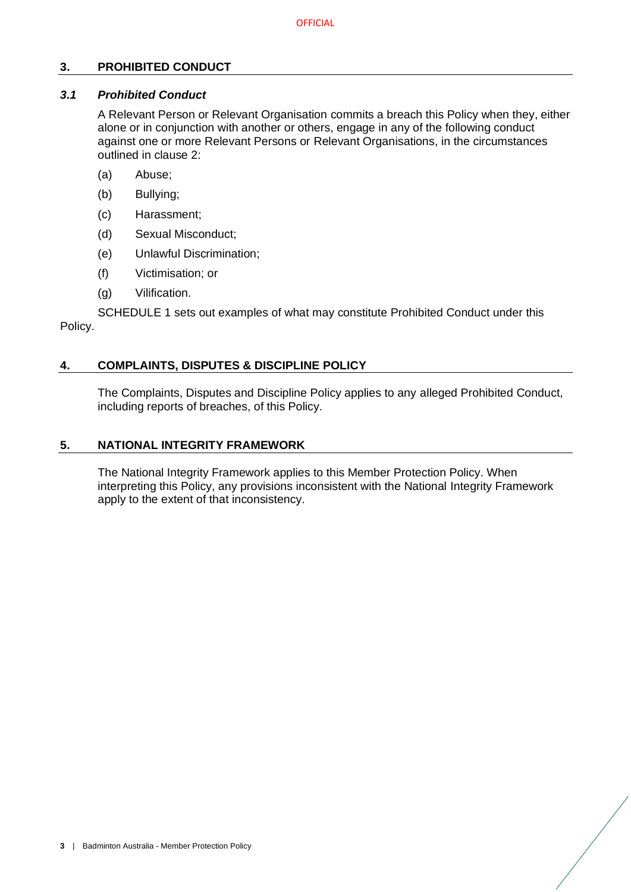### <span id="page-4-0"></span>**3. PROHIBITED CONDUCT**

## <span id="page-4-1"></span>*3.1 Prohibited Conduct*

A Relevant Person or Relevant Organisation commits a breach this Policy when they, either alone or in conjunction with another or others, engage in any of the following conduct against one or more Relevant Persons or Relevant Organisations, in the circumstances outlined in clause [2:](#page-3-0)

- (a) Abuse;
- (b) Bullying;
- (c) Harassment;
- (d) Sexual Misconduct;
- (e) Unlawful Discrimination;
- (f) Victimisation; or
- (g) Vilification.

[SCHEDULE 1](#page-5-0) sets out examples of what may constitute Prohibited Conduct under this Policy.

#### <span id="page-4-2"></span>**4. COMPLAINTS, DISPUTES & DISCIPLINE POLICY**

The Complaints, Disputes and Discipline Policy applies to any alleged Prohibited Conduct, including reports of breaches, of this Policy.

#### <span id="page-4-3"></span>**5. NATIONAL INTEGRITY FRAMEWORK**

The National Integrity Framework applies to this Member Protection Policy. When interpreting this Policy, any provisions inconsistent with the National Integrity Framework apply to the extent of that inconsistency.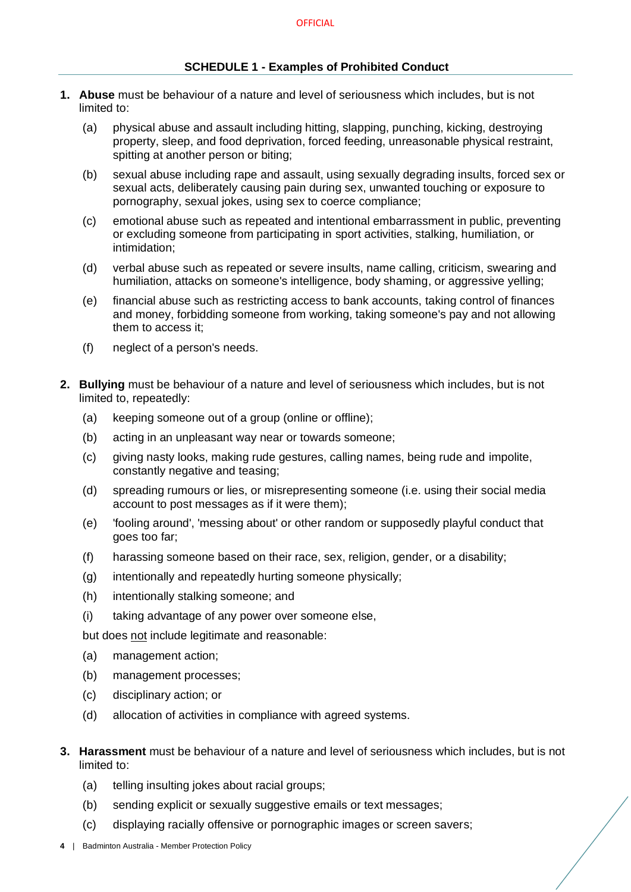#### <span id="page-5-0"></span>**SCHEDULE 1 - Examples of Prohibited Conduct**

- **1. Abuse** must be behaviour of a nature and level of seriousness which includes, but is not limited to:
	- (a) physical abuse and assault including hitting, slapping, punching, kicking, destroying property, sleep, and food deprivation, forced feeding, unreasonable physical restraint, spitting at another person or biting;
	- (b) sexual abuse including rape and assault, using sexually degrading insults, forced sex or sexual acts, deliberately causing pain during sex, unwanted touching or exposure to pornography, sexual jokes, using sex to coerce compliance;
	- (c) emotional abuse such as repeated and intentional embarrassment in public, preventing or excluding someone from participating in sport activities, stalking, humiliation, or intimidation;
	- (d) verbal abuse such as repeated or severe insults, name calling, criticism, swearing and humiliation, attacks on someone's intelligence, body shaming, or aggressive yelling;
	- (e) financial abuse such as restricting access to bank accounts, taking control of finances and money, forbidding someone from working, taking someone's pay and not allowing them to access it;
	- (f) neglect of a person's needs.
- **2. Bullying** must be behaviour of a nature and level of seriousness which includes, but is not limited to, repeatedly:
	- (a) keeping someone out of a group (online or offline);
	- (b) acting in an unpleasant way near or towards someone;
	- (c) giving nasty looks, making rude gestures, calling names, being rude and impolite, constantly negative and teasing;
	- (d) spreading rumours or lies, or misrepresenting someone (i.e. using their social media account to post messages as if it were them);
	- (e) 'fooling around', 'messing about' or other random or supposedly playful conduct that goes too far;
	- (f) harassing someone based on their race, sex, religion, gender, or a disability;
	- (g) intentionally and repeatedly hurting someone physically;
	- (h) intentionally stalking someone; and
	- (i) taking advantage of any power over someone else,

but does not include legitimate and reasonable:

- (a) management action;
- (b) management processes;
- (c) disciplinary action; or
- (d) allocation of activities in compliance with agreed systems.
- **3. Harassment** must be behaviour of a nature and level of seriousness which includes, but is not limited to:
	- (a) telling insulting jokes about racial groups;
	- (b) sending explicit or sexually suggestive emails or text messages;
	- (c) displaying racially offensive or pornographic images or screen savers;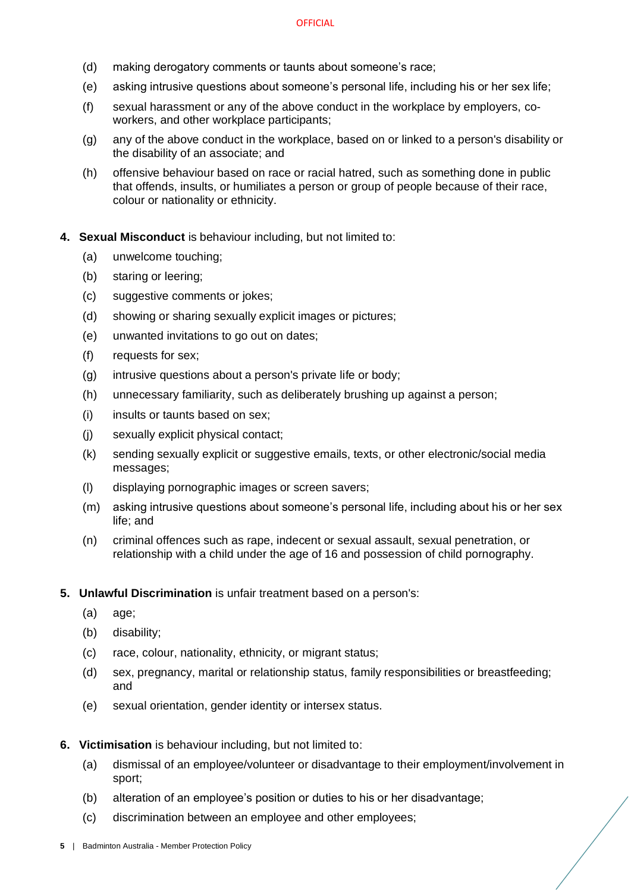- (d) making derogatory comments or taunts about someone's race;
- (e) asking intrusive questions about someone's personal life, including his or her sex life;
- (f) sexual harassment or any of the above conduct in the workplace by employers, coworkers, and other workplace participants;
- (g) any of the above conduct in the workplace, based on or linked to a person's disability or the disability of an associate; and
- (h) offensive behaviour based on race or racial hatred, such as something done in public that offends, insults, or humiliates a person or group of people because of their race, colour or nationality or ethnicity.
- **4. Sexual Misconduct** is behaviour including, but not limited to:
	- (a) unwelcome touching;
	- (b) staring or leering;
	- (c) suggestive comments or jokes;
	- (d) showing or sharing sexually explicit images or pictures;
	- (e) unwanted invitations to go out on dates;
	- (f) requests for sex;
	- (g) intrusive questions about a person's private life or body;
	- (h) unnecessary familiarity, such as deliberately brushing up against a person;
	- (i) insults or taunts based on sex;
	- (j) sexually explicit physical contact;
	- (k) sending sexually explicit or suggestive emails, texts, or other electronic/social media messages;
	- (l) displaying pornographic images or screen savers;
	- (m) asking intrusive questions about someone's personal life, including about his or her sex life; and
	- (n) criminal offences such as rape, indecent or sexual assault, sexual penetration, or relationship with a child under the age of 16 and possession of child pornography.
- **5. Unlawful Discrimination** is unfair treatment based on a person's:
	- (a) age;
	- (b) disability;
	- (c) race, colour, nationality, ethnicity, or migrant status;
	- (d) sex, pregnancy, marital or relationship status, family responsibilities or breastfeeding; and
	- (e) sexual orientation, gender identity or intersex status.
- **6. Victimisation** is behaviour including, but not limited to:
	- (a) dismissal of an employee/volunteer or disadvantage to their employment/involvement in sport;
	- (b) alteration of an employee's position or duties to his or her disadvantage;
	- (c) discrimination between an employee and other employees;